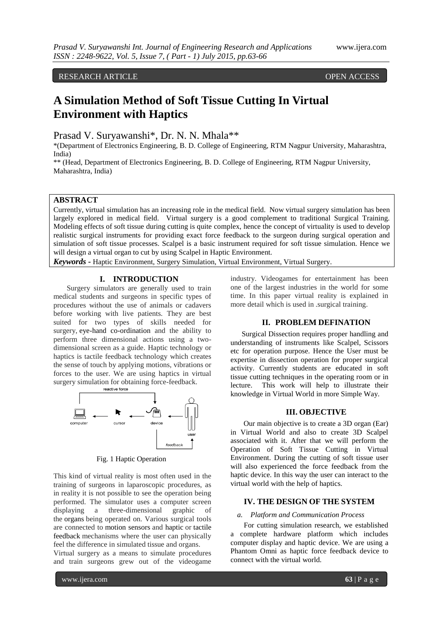# RESEARCH ARTICLE **CONSERVERS**

# **A Simulation Method of Soft Tissue Cutting In Virtual Environment with Haptics**

Prasad V. Suryawanshi\*, Dr. N. N. Mhala\*\*

\*(Department of Electronics Engineering, B. D. College of Engineering, RTM Nagpur University, Maharashtra, India)

\*\* (Head, Department of Electronics Engineering, B. D. College of Engineering, RTM Nagpur University, Maharashtra, India)

# **ABSTRACT**

Currently, virtual simulation has an increasing role in the medical field. Now virtual surgery simulation has been largely explored in medical field. Virtual surgery is a good complement to traditional Surgical Training. Modeling effects of soft tissue during cutting is quite complex, hence the concept of virtuality is used to develop realistic surgical instruments for providing exact force feedback to the surgeon during surgical operation and simulation of soft tissue processes. Scalpel is a basic instrument required for soft tissue simulation. Hence we will design a virtual organ to cut by using Scalpel in Haptic Environment.

*Keywords* **-** Haptic Environment, Surgery Simulation, Virtual Environment, Virtual Surgery.

# **I. INTRODUCTION**

Surgery simulators are generally used to train medical students and surgeons in specific types of procedures without the use of animals or cadavers before working with live patients. They are best suited for two types of skills needed for surgery, eye-hand co-ordination and the ability to perform three dimensional actions using a twodimensional screen as a guide. Haptic technology or haptics is tactile feedback technology which creates the sense of touch by applying motions, vibrations or forces to the user. We are using haptics in virtual surgery simulation for obtaining force-feedback.



Fig. 1 Haptic Operation

This kind of virtual reality is most often used in the training of surgeons in laparoscopic procedures, as in reality it is not possible to see the operation being performed. The simulator uses a computer screen displaying a three-dimensional graphic of the organs being operated on. Various surgical tools are connected to motion sensors and haptic or tactile feedback mechanisms where the user can physically feel the difference in simulated tissue and organs.

Virtual surgery as a means to simulate procedures and train surgeons grew out of the videogame

industry. Videogames for entertainment has been one of the largest industries in the world for some time. In this paper virtual reality is explained in more detail which is used in .surgical training.

## **II. PROBLEM DEFINATION**

 Surgical Dissection requires proper handling and understanding of instruments like Scalpel, Scissors etc for operation purpose. Hence the User must be expertise in dissection operation for proper surgical activity. Currently students are educated in soft tissue cutting techniques in the operating room or in lecture. This work will help to illustrate their knowledge in Virtual World in more Simple Way.

#### **III. OBJECTIVE**

 Our main objective is to create a 3D organ (Ear) in Virtual World and also to create 3D Scalpel associated with it. After that we will perform the Operation of Soft Tissue Cutting in Virtual Environment. During the cutting of soft tissue user will also experienced the force feedback from the haptic device. In this way the user can interact to the virtual world with the help of haptics.

## **IV. THE DESIGN OF THE SYSTEM**

## *a. Platform and Communication Process*

For cutting simulation research, we established a complete hardware platform which includes computer display and haptic device. We are using a Phantom Omni as haptic force feedback device to connect with the virtual world.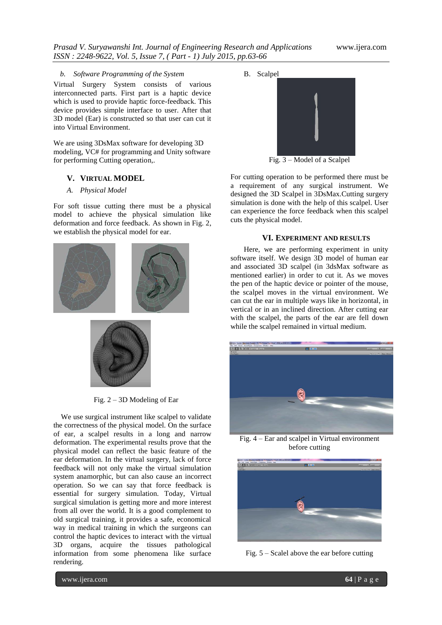## *b. Software Programming of the System*

Virtual Surgery System consists of various interconnected parts. First part is a haptic device which is used to provide haptic force-feedback. This device provides simple interface to user. After that 3D model (Ear) is constructed so that user can cut it into Virtual Environment.

We are using 3DsMax software for developing 3D modeling, VC# for programming and Unity software for performing Cutting operation,.

## **V. VIRTUAL MODEL**

### *A. Physical Model*

For soft tissue cutting there must be a physical model to achieve the physical simulation like deformation and force feedback. As shown in Fig. 2, we establish the physical model for ear.





Fig. 2 – 3D Modeling of Ear

We use surgical instrument like scalpel to validate the correctness of the physical model. On the surface of ear, a scalpel results in a long and narrow deformation. The experimental results prove that the physical model can reflect the basic feature of the ear deformation. In the virtual surgery, lack of force feedback will not only make the virtual simulation system anamorphic, but can also cause an incorrect operation. So we can say that force feedback is essential for surgery simulation. Today, Virtual surgical simulation is getting more and more interest from all over the world. It is a good complement to old surgical training, it provides a safe, economical way in medical training in which the surgeons can control the haptic devices to interact with the virtual 3D organs, acquire the tissues pathological information from some phenomena like surface rendering.



Fig. 3 – Model of a Scalpel

For cutting operation to be performed there must be a requirement of any surgical instrument. We designed the 3D Scalpel in 3DsMax.Cutting surgery simulation is done with the help of this scalpel. User can experience the force feedback when this scalpel cuts the physical model.

#### **VI. EXPERIMENT AND RESULTS**

Here, we are performing experiment in unity software itself. We design 3D model of human ear and associated 3D scalpel (in 3dsMax software as mentioned earlier) in order to cut it. As we moves the pen of the haptic device or pointer of the mouse, the scalpel moves in the virtual environment. We can cut the ear in multiple ways like in horizontal, in vertical or in an inclined direction. After cutting ear with the scalpel, the parts of the ear are fell down while the scalpel remained in virtual medium.



Fig. 4 – Ear and scalpel in Virtual environment before cutting



Fig. 5 – Scalel above the ear before cutting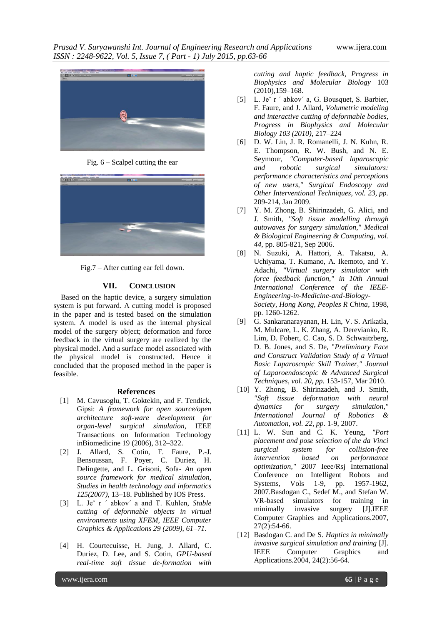

Fig. 6 – Scalpel cutting the ear



Fig.7 – After cutting ear fell down.

## **VII. CONCLUSION**

Based on the haptic device, a surgery simulation system is put forward. A cutting model is proposed in the paper and is tested based on the simulation system. A model is used as the internal physical model of the surgery object; deformation and force feedback in the virtual surgery are realized by the physical model. And a surface model associated with the physical model is constructed. Hence it concluded that the proposed method in the paper is feasible.

#### **References**

- [1] M. Cavusoglu, T. Goktekin, and F. Tendick, Gipsi: *A framework for open source/open architecture soft-ware development for organ-level surgical simulation,* IEEE Transactions on Information Technology inBiomedicine 19 (2006), 312–322.
- [2] J. Allard, S. Cotin, F. Faure, P.-J. Bensoussan, F. Poyer, C. Duriez, H. Delingette, and L. Grisoni, Sofa- *An open source framework for medical simulation, Studies in health technology and informatics 125(2007)*, 13–18. Published by IOS Press.
- [3] L. Jeˇ r ´ abkov´ a and T. Kuhlen, *Stable cutting of deformable objects in virtual environments using XFEM, IEEE Computer Graphics & Applications 29 (2009), 61–71.*
- [4] H. Courtecuisse, H. Jung, J. Allard, C. Duriez, D. Lee, and S. Cotin, *GPU-based real-time soft tissue de-formation with*

*cutting and haptic feedback, Progress in Biophysics and Molecular Biology* 103 (2010),159–168.

- [5] L. Je<sup>x</sup> r  $\prime$  abkov $\prime$  a, G. Bousquet, S. Barbier, F. Faure, and J. Allard, *Volumetric modeling and interactive cutting of deformable bodies, Progress in Biophysics and Molecular Biology 103 (2010)*, 217–224
- [6] D. W. Lin, J. R. Romanelli, J. N. Kuhn, R. E. Thompson, R. W. Bush, and N. E. Seymour, *"Computer-based laparoscopic and robotic surgical simulators: performance characteristics and perceptions of new users," Surgical Endoscopy and Other Interventional Techniques, vol. 23, pp.* 209-214, Jan 2009.
- [7] Y. M. Zhong, B. Shirinzadeh, G. Alici, and J. Smith, *"Soft tissue modelling through autowaves for surgery simulation," Medical & Biological Engineering & Computing, vol. 44,* pp. 805-821, Sep 2006.
- [8] N. Suzuki, A. Hattori, A. Takatsu, A. Uchiyama, T. Kumano, A. Ikemoto, and Y. Adachi, *"Virtual surgery simulator with force feedback function," in 10th Annual International Conference of the IEEE-Engineering-in-Medicine-and-Biology-Society, Hong Kong, Peoples R China*, 1998, pp. 1260-1262.
- [9] G. Sankaranarayanan, H. Lin, V. S. Arikatla, M. Mulcare, L. K. Zhang, A. Derevianko, R. Lim, D. Fobert, C. Cao, S. D. Schwaitzberg, D. B. Jones, and S. De, "*Preliminary Face and Construct Validation Study of a Virtual Basic Laparoscopic Skill Trainer," Journal of Laparoendoscopic & Advanced Surgical Techniques, vol. 20, pp.* 153-157, Mar 2010.
- [10] Y. Zhong, B. Shirinzadeh, and J. Smith, *"Soft tissue deformation with neural dynamics for surgery simulation," International Journal of Robotics & Automation, vol. 22, pp*. 1-9, 2007.
- [11] L. W. Sun and C. K. Yeung, *"Port placement and pose selection of the da Vinci surgical system for collision-free intervention based on performance optimization,"* 2007 Ieee/Rsj International Conference on Intelligent Robots and Systems, Vols 1-9, pp. 1957-1962, 2007.Basdogan C., Sedef M., and Stefan W. VR-based simulators for training in minimally invasive surgery [J].IEEE Computer Graphies and Applications.2007, 27(2):54-66.
- [12] Basdogan C. and De S. *Haptics in minimally invasive surgical simulation and training* [J]. IEEE Computer Graphics and Applications.2004, 24(2):56-64.